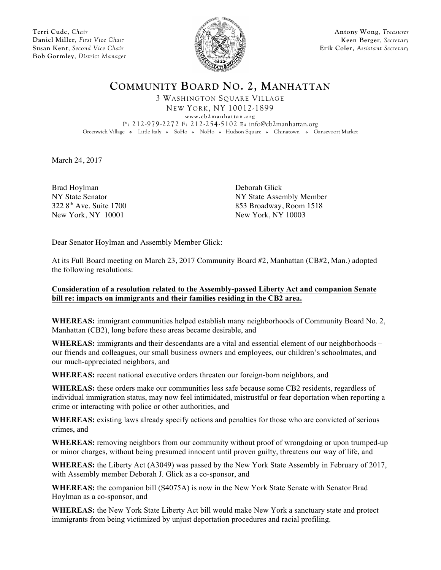**Terri Cude,** *Chair* **Daniel Miller**, *First Vice Chair* **Susan Kent**, *Second Vice Chair* **Bob Gormley**, *District Manager*



**Antony Wong**, *Treasurer* **Keen Berger**, *Secretary* **Erik Coler**, *Assistant Secretary*

**COMMUNITY BOARD NO. 2, MANHATTAN**

3 WASHINGTON SQUARE VILLAGE NEW YORK, NY 10012-1899

**www.cb2manhattan.org**

**P**: 212-979-2272 **F**: 212-254-5102 **E:** info@cb2manhattan.org Greenwich Village • Little Italy • SoHo • NoHo • Hudson Square • Chinatown • Gansevoort Market

March 24, 2017

Brad Hoylman<br>
NY State Senator<br>
NY State Asser New York, NY 10001 New York, NY 10003

NY State Assembly Member  $3228<sup>th</sup>$  Ave. Suite 1700 853 Broadway, Room 1518

Dear Senator Hoylman and Assembly Member Glick:

At its Full Board meeting on March 23, 2017 Community Board #2, Manhattan (CB#2, Man.) adopted the following resolutions:

## **Consideration of a resolution related to the Assembly-passed Liberty Act and companion Senate bill re: impacts on immigrants and their families residing in the CB2 area.**

**WHEREAS:** immigrant communities helped establish many neighborhoods of Community Board No. 2, Manhattan (CB2), long before these areas became desirable, and

**WHEREAS:** immigrants and their descendants are a vital and essential element of our neighborhoods – our friends and colleagues, our small business owners and employees, our children's schoolmates, and our much-appreciated neighbors, and

**WHEREAS:** recent national executive orders threaten our foreign-born neighbors, and

**WHEREAS:** these orders make our communities less safe because some CB2 residents, regardless of individual immigration status, may now feel intimidated, mistrustful or fear deportation when reporting a crime or interacting with police or other authorities, and

**WHEREAS:** existing laws already specify actions and penalties for those who are convicted of serious crimes, and

**WHEREAS:** removing neighbors from our community without proof of wrongdoing or upon trumped-up or minor charges, without being presumed innocent until proven guilty, threatens our way of life, and

**WHEREAS:** the Liberty Act (A3049) was passed by the New York State Assembly in February of 2017, with Assembly member Deborah J. Glick as a co-sponsor, and

**WHEREAS:** the companion bill (S4075A) is now in the New York State Senate with Senator Brad Hoylman as a co-sponsor, and

**WHEREAS:** the New York State Liberty Act bill would make New York a sanctuary state and protect immigrants from being victimized by unjust deportation procedures and racial profiling.